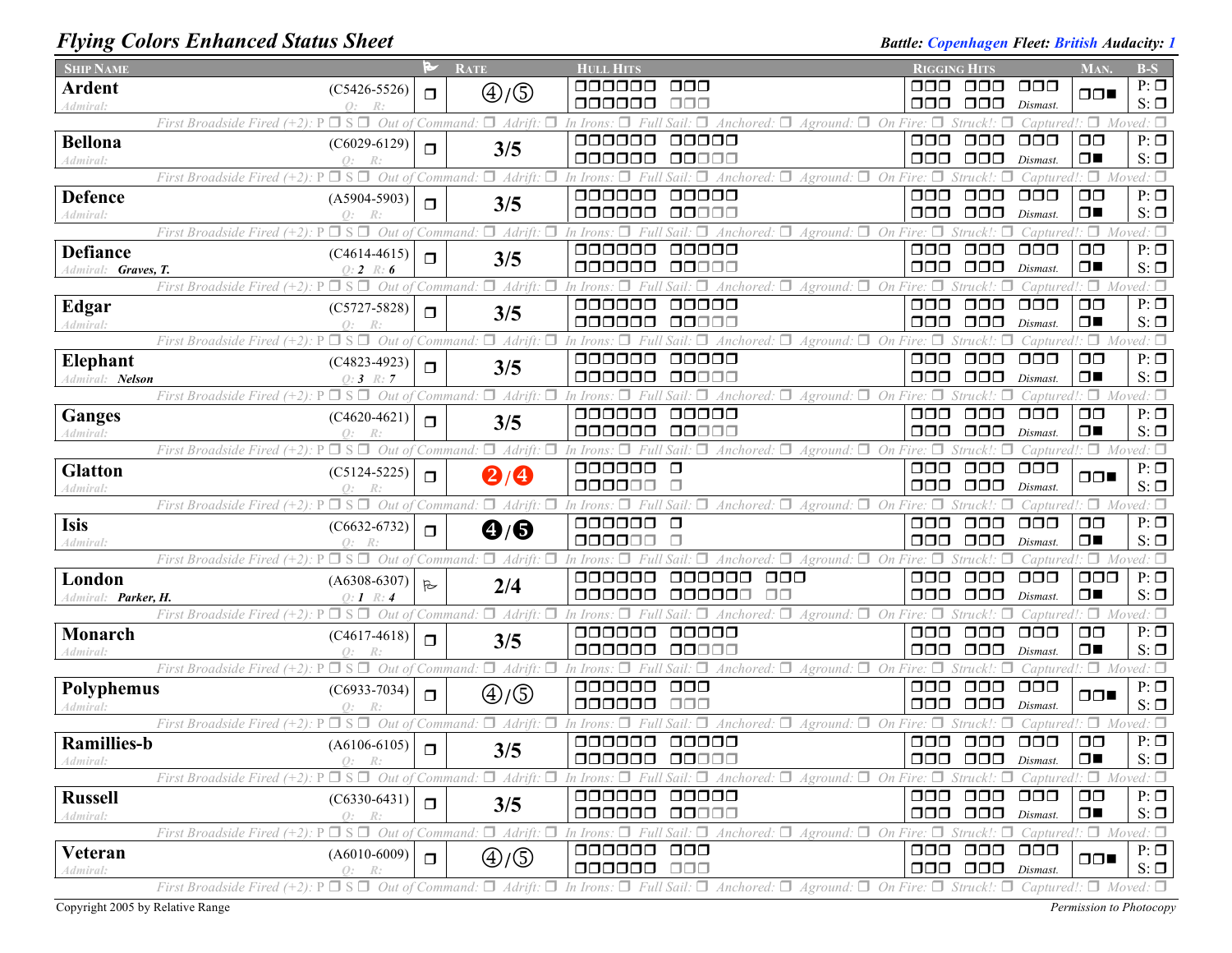## *Flying Colors Enhanced Status Sheet Battle: Copenhagen Fleet: British Audacity: 1*

| <b>SHIP NAME</b>    |                                                                                        | M            | <b>RATE</b>                                          | <b>HULL HITS</b>                                                                                                                    |                                                                 | <b>RIGGING HITS</b>                                     |                                   | MAN.                            | $B-S$                      |
|---------------------|----------------------------------------------------------------------------------------|--------------|------------------------------------------------------|-------------------------------------------------------------------------------------------------------------------------------------|-----------------------------------------------------------------|---------------------------------------------------------|-----------------------------------|---------------------------------|----------------------------|
| <b>Ardent</b>       | $(C5426-5526)$                                                                         | $\Box$       | $\bigoplus/\bigoplus$                                | 000000<br>000                                                                                                                       | ooo                                                             | 000                                                     | $\Box \Box \Box$                  | $\Box$                          | $P: \Box$                  |
| Admiral:            | $Q$ :<br>R:                                                                            |              |                                                      | 000000<br>$\Box \Box \Box$                                                                                                          | 000                                                             | $\Box$ $\Box$                                           | Dismast.                          |                                 | $S: \Box$                  |
|                     | Out of<br>$\Box$ S $\Box$<br>First Broadside Fired                                     |              | $\Box$ Adrift.<br>Command                            | In Irons<br>Anchored:<br>Aground.                                                                                                   | □<br>On                                                         |                                                         | Captured                          | Π.<br>$M_{O1}$                  | ed: $\Box$                 |
| <b>Bellona</b>      | $(C6029-6129)$                                                                         | σ            | 3/5                                                  | 000000<br>00000                                                                                                                     | $\Box$ $\Box$                                                   | $\Box$ $\Box$                                           | $\Box$ $\Box$                     | $\Box$ $\Box$                   | $P: \Box$                  |
| Admiral:            | $Q$ :<br>R:<br>$\Box$ S $\Box$                                                         |              |                                                      | 000000<br>00000                                                                                                                     | 000                                                             | $\Box$ $\Box$                                           | Dismast                           | $\Box$<br>$\Box$                | $S: \Box$                  |
|                     | Out of<br>First Broadside Fired (+2):                                                  |              | $\Box$ Adrift.<br>Command                            | п<br>In Irons<br>П.<br>Anchored:<br>Aground:<br>000000<br>00000                                                                     | Fire: $\Box$<br>On<br>OOO                                       | $\Box$ $\Box$                                           | Captured<br>$\Box$ $\Box$ $\Box$  | $\Box$ $\Box$                   | Moved: $\Box$<br>$P: \Box$ |
| <b>Defence</b>      | $(A5904-5903)$<br>$Q$ :                                                                | $\Box$       | 3/5                                                  | 000000<br>00000                                                                                                                     | 000                                                             | $\Box \Box \Box$                                        | Dismast                           | $\Box$                          | $S: \Box$                  |
| Admiral:            | ⊐ S.<br>П.<br>Out<br>First Broadside Fired (+2):                                       |              | Adrift.<br>Command                                   | п.<br>Anchored: $\Box$<br>Aground:                                                                                                  | On                                                              |                                                         | 'apturea                          | $\Box$                          |                            |
| <b>Defiance</b>     | $(C4614-4615)$                                                                         |              |                                                      | 000000<br>00000                                                                                                                     | $\Box$ $\Box$                                                   | $\Box$ $\Box$                                           | $\Box$ $\Box$                     | $\Box$ $\Box$                   | $P: \Box$                  |
| Admiral: Graves, T. | $0: 2 \; R: 6$                                                                         | $\Box$       | 3/5                                                  | 000000<br>00000                                                                                                                     | 000                                                             | $\Box \Box \Box$                                        | Dismast                           | $\Box$                          | $S: \Box$                  |
|                     | First Broadside Fired (+2).<br>$\Box$ S<br>Out of                                      |              | Adrift.<br>Command                                   | Anchored: $\Box$<br>$A$ ground: $\Box$                                                                                              | On Fire                                                         |                                                         | 'aptured                          | $\Box$                          | Moved: $\Box$              |
| Edgar               | $(C5727 - 5828)$                                                                       |              |                                                      | 000000<br>00000                                                                                                                     | 000                                                             | $\Box \Box \Box$                                        | 000                               | $\Box$ $\Box$                   | $P: \Box$                  |
| Admiral:            | $\Omega$ :                                                                             | $\Box$       | 3/5                                                  | 000000<br>00000                                                                                                                     | 000                                                             | $\Box$ $\Box$                                           | Dismast                           | $\Box$                          | $S: \Box$                  |
|                     | $\Box$ S<br>Out<br>First Broadside Fired (+2).                                         |              | Adrift.<br>Command                                   | Anchored:<br>Aground:                                                                                                               |                                                                 | Struckl                                                 | antured                           | $\cdot \Box$                    |                            |
| Elephant            | $(C4823 - 4923)$                                                                       | $\Box$       | 3/5                                                  | 000000<br>00000                                                                                                                     | $\Box$ $\Box$                                                   | $\Box \Box \Box$                                        | $\Box$ $\Box$                     | $\square$                       | $P: \Box$                  |
| Admiral: Nelson     | $Q: 3 \ R: 7$                                                                          |              |                                                      | 000000<br>88888                                                                                                                     | ooo                                                             | $\Box$ $\Box$                                           | Dismast                           | $\Box$                          | $S: \Box$                  |
|                     | First Broadside Fired (+2).<br>Out of                                                  |              | $\Box$ Adrift.<br>Command                            | Anchored: $\Box$<br><i>Aground:</i>                                                                                                 | On.                                                             |                                                         | $\Box$ aptured!: $\Box$           |                                 | $Moved: \Box$              |
| <b>Ganges</b>       | $(C4620-4621)$                                                                         | $\Box$       | 3/5                                                  | 000000<br>00000                                                                                                                     | $\Box$ $\Box$                                                   | $\Box$ $\Box$                                           | $\Box$ $\Box$                     | $\Box$ $\Box$                   | $P: \Box$                  |
| 4dmiral:            |                                                                                        |              |                                                      | 000000<br>00000                                                                                                                     | ooo                                                             | $\Box$ $\Box$                                           | Dismast.                          | $\Box$                          | $S: \Box$                  |
|                     | $\Box$ S $\Box$<br>Out of<br>First Broadside Fired (+2).                               |              | $\Box$ Adrift.<br>Command                            | Anchored: $\Box$ Aground: $\Box$ On Fire: $\Box$<br>п<br>In Irons<br>Sail.<br>000000<br>$\Box$                                      | $\Box$ $\Box$                                                   | Struck!:<br>$\Box$ $\Box$                               | $\Box$ $\Box$                     | Captured!: $\Box$ Moved: $\Box$ | $P: \Box$                  |
| <b>Glatton</b>      | $(C5124-5225)$                                                                         | $\Box$       | $\mathbf{Q}/\mathbf{Q}$                              | 000000<br>П                                                                                                                         | $\Box$ $\Box$                                                   | $\Box$ $\Box$                                           | Dismast.                          | $\Box \Box$                     | $S: \Box$                  |
| Admiral:            | $\square$ $S \square$<br>Out of<br>First Broadside Fired (+2): P                       |              | $\Box$ Adrift:<br>Command:                           | $\forall$ Anchored: $\Box$<br>$\Box$<br>In Irons.<br>Sail.<br><i>Aground:</i>                                                       | On Fire: $\Box$                                                 | Struck!:                                                | Captured!:                        | ۰۵۰                             | Moved: $\Box$              |
| Isis                | $(C6632-6732)$                                                                         |              |                                                      | 000000<br>$\Box$                                                                                                                    | $\Box$ $\Box$                                                   | $\Box$ $\Box$                                           | $\Box$ $\Box$                     | $\Box$ $\Box$                   | $P: \Box$                  |
| Admiral:            | $\bigcap$ :                                                                            | $\Box$       | $\mathbf{\Theta}/\mathbf{\Theta}$                    | 000000                                                                                                                              | 000                                                             | $\Box$ $\Box$                                           | Dismast                           | $\Box$                          | $S: \Box$                  |
|                     | $\Box$ S $\Box$<br>First Broadside Fired $(+2)$ :<br>Out of                            |              | $\Box$ Adrift:<br>Command                            | In Irons<br>Aground:                                                                                                                | On Fire: $\Box$                                                 |                                                         | Captured                          | $\Box$                          |                            |
| London              | $(A6308-6307)$                                                                         | $\mathbb{R}$ | 2/4                                                  | 000000<br>$\Box$ $\Box$<br>aaaaaa                                                                                                   | $\Box$ $\Box$                                                   | $\Box$ $\Box$                                           | $\Box$ $\Box$                     | $\Box$ $\Box$                   | $P: \Box$                  |
| Admiral: Parker, H. | $\Omega: I$                                                                            |              |                                                      | 000000<br>000000<br>ПП                                                                                                              | $\Box$ $\Box$                                                   | $\Box$ $\Box$                                           | Dismast.                          | $\Box$                          | $S: \Box$                  |
|                     | $\Box$ S $\Box$<br>First Broadside Fired $(+2)$ : P                                    |              | Out of Command: $\Box$ Adrift: $\Box$                | Anchored: $\Box$ Aground: $\Box$ On Fire: $\Box$<br>In Irons                                                                        |                                                                 | Struck!:                                                | Captured!:                        |                                 | $\Box$ Moved: $\Box$       |
| <b>Monarch</b>      | $(C4617-4618)$                                                                         | $\Box$       | 3/5                                                  | 000000<br>00000                                                                                                                     | 000                                                             | $\Box$ $\Box$                                           | $\Box$ $\Box$                     | $\Box$ $\Box$                   | $P: \Box$                  |
| Admiral:            | Q:                                                                                     |              |                                                      | 000000<br>00000                                                                                                                     | 000                                                             | $\Box$ $\Box$                                           | Dismast.                          | $\Box$                          | $S: \Box$                  |
|                     | $\square$ s $\square$<br>Out of<br>First Broadside Fired $(+2)$ .                      |              | $\Box$ Adrift:<br>Command.                           | Anchored: $\Box$<br>$A$ ground: $\Box$ On Fire:<br>In Iron                                                                          |                                                                 |                                                         | `aptured                          | $\Box$                          | Moved: $\Box$              |
| <b>Polyphemus</b>   | $(C6933 - 7034)$                                                                       | $\Box$       | ⊕/⑤                                                  | 000000<br>$\Box$ $\Box$<br>000000<br>ooo                                                                                            | 000<br>000                                                      | $\Box$ $\Box$<br>$\Box$ $\Box$                          | $\Box$ $\Box$                     | $\Box \Box$                     | $P: \Box$<br>$S: \Box$     |
| 4dmiral:            | Q:<br>R:<br>Out of<br>First Broadside Fired (+2).                                      |              | $\Box$ Adrift:<br>Command                            | Anchored: $\Box$                                                                                                                    |                                                                 |                                                         | Dismast.                          | $\Box$                          | Moved: $\square$           |
| <b>Ramillies-b</b>  |                                                                                        |              |                                                      | Aground.<br>000000<br>00000                                                                                                         | On Fire:<br>$\Box$ $\Box$                                       | $\Box$ $\Box$                                           | $\Box \Box \Box$                  | $\Box$ $\Box$                   | $P: \Box$                  |
| Admiral:            | $(A6106-6105)$<br>Q: R:                                                                | $\Box$       | 3/5                                                  | 000000 00000                                                                                                                        |                                                                 | $\Box$ $\Box$ $\Box$ $\Box$ $\Box$ $\Box$ $\Box$ $\Box$ |                                   | $\square$                       | $S: \Box$                  |
|                     | First Broadside Fired $(+2)$ : P $\Box$ S $\Box$ Out of Command: $\Box$ Adrift: $\Box$ |              |                                                      | In Irons: $\Box$ Full Sail: $\Box$ Anchored: $\Box$ Aground: $\Box$ On Fire: $\Box$ Struck!: $\Box$                                 |                                                                 |                                                         | $Captured$ : $\Box$ Moved: $\Box$ |                                 |                            |
| <b>Russell</b>      | $(C6330-6431)$                                                                         |              |                                                      | 000000 00000                                                                                                                        |                                                                 | 000 000                                                 | $\Box$ $\Box$                     | $\Box$ $\Box$                   | $P: \Box$                  |
| Admiral:            | Q: R:                                                                                  | $\Box$       | 3/5                                                  | 000000 00000                                                                                                                        |                                                                 | $\Box$ $\Box$ $\Box$ $\Box$ $\Box$ $\Box$ $\Box$        |                                   | $\Box$                          | $S: \Box$                  |
|                     | First Broadside Fired (+2): P                                                          |              | $\Box$ S $\Box$ Out of Command: $\Box$ Adrift:<br>п. | In Irons: $\Box$ Full Sail: $\Box$ Anchored: $\Box$ Aground: $\Box$ On Fire: $\Box$ Struck!: $\Box$ Captured!: $\Box$ Moved: $\Box$ |                                                                 |                                                         |                                   |                                 |                            |
| Veteran             | $(A6010-6009)$                                                                         | $\Box$       | ⊕/⑤                                                  | 000000 000                                                                                                                          |                                                                 | 000 000 000                                             |                                   | $\Box \Box$                     | $P: \Box$                  |
| Admiral:            | $Q$ :<br>R:                                                                            |              |                                                      | 000000 000                                                                                                                          |                                                                 | $\Box$ $\Box$ $\Box$ $\Box$ $Dismast$ .                 |                                   |                                 | $S: \Box$                  |
|                     | $\Box S \Box$ Out of Command:<br>First Broadside Fired $(+2)$ : P                      |              | $\Box$ Adrift: $\Box$                                | In Irons: $\Box$ Full Sail: $\Box$ Anchored: $\Box$ Aground: $\Box$                                                                 | On Fire: $\Box$ Struck!: $\Box$ Captured!: $\Box$ Moved: $\Box$ |                                                         |                                   |                                 |                            |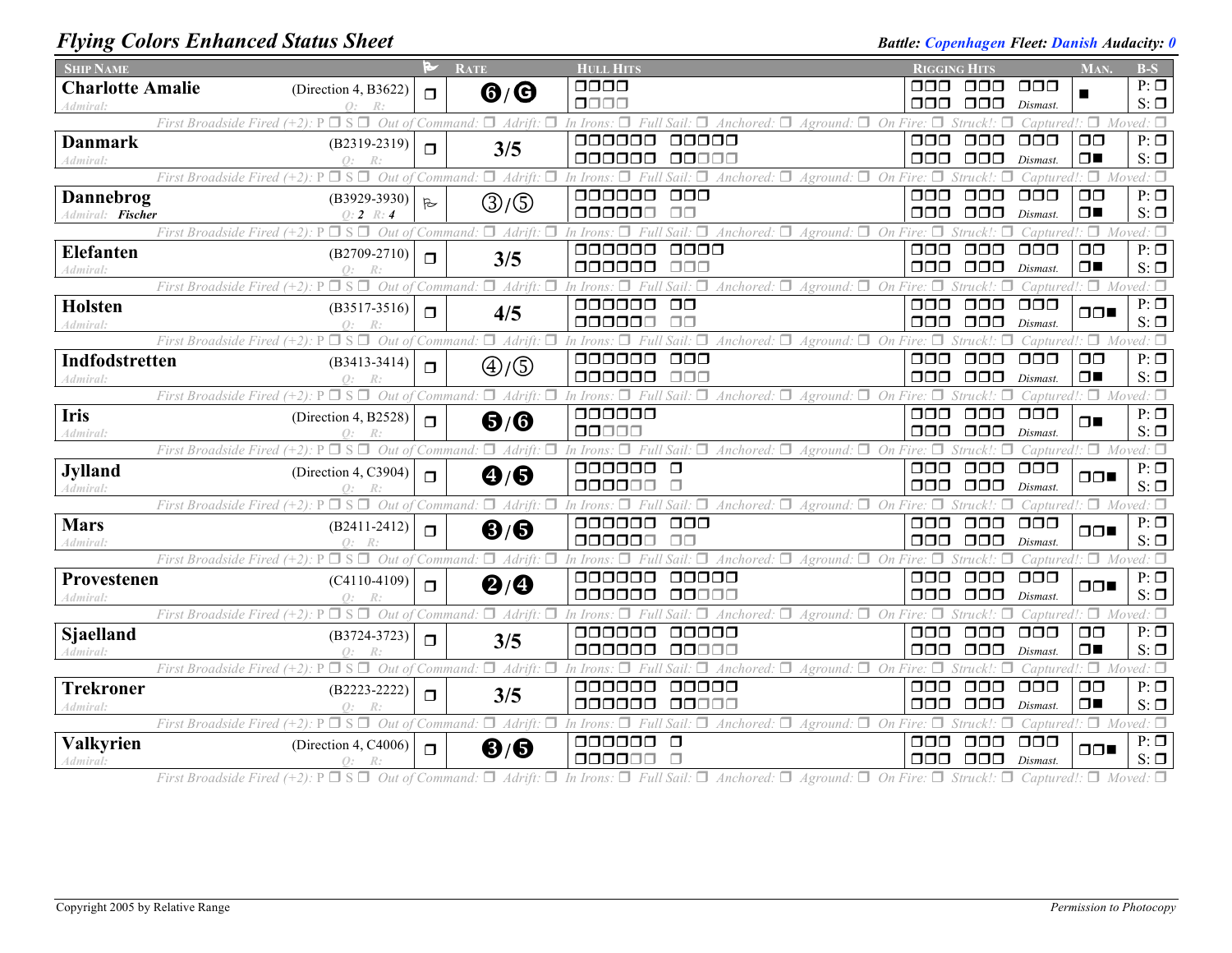## *Flying Colors Enhanced Status Sheet* **Battle:** *Copenhagen Fleet: Danish Audacity:* 0

| <b>SHIP NAME</b>               |                                                                                   |              | <b>RATE</b>                                                         | <b>HULL HITS</b>                                                                      | <b>RIGGING HITS</b>               |                                       |                           | MAN.                            | $B-S$                  |
|--------------------------------|-----------------------------------------------------------------------------------|--------------|---------------------------------------------------------------------|---------------------------------------------------------------------------------------|-----------------------------------|---------------------------------------|---------------------------|---------------------------------|------------------------|
| <b>Charlotte Amalie</b>        | (Direction 4, B3622)                                                              | $\Box$       | $\mathbf{G}/\mathbf{G}$                                             | 0000                                                                                  | ⊓⊓⊓                               | □□□                                   | $\Box$ $\Box$             |                                 | $P: \Box$              |
| Admiral:                       | $\Omega$ :                                                                        |              |                                                                     | $\Box\Box\Box\Box$                                                                    | 000                               | 000                                   | Dismast.                  |                                 | $S: \Box$              |
|                                | $\Box$ S $\Box$<br>Out of Command:<br>First Broadside Fired $(+2)$ : P            |              | $\Box$ Adrift:                                                      | In Irons<br>п.<br>Sail: $\Box$ Anchored: $\Box$<br>Aground:<br>On                     |                                   |                                       | Captured                  | п.                              | Moved: $\Box$          |
| <b>Danmark</b>                 | $(B2319-2319)$                                                                    | $\Box$       | 3/5                                                                 | 000000<br>00000<br>000000<br>00000                                                    | $\Box$ $\Box$<br>$\Box \Box \Box$ | $\Box$ $\Box$<br>$\Box$ $\Box$ $\Box$ | $\Box$ $\Box$ $\Box$      | $\Box$ $\Box$<br>$\Box$         | $P: \Box$<br>$S: \Box$ |
| Admiral:                       | $Q$ :<br>$\Box$ S $\Box$ Out of<br>First Broadside Fired $(+2)$ : P               |              | $\Box$ Adrift:<br>Command.                                          | Anchored: $\Box$ Aground: $\Box$ On<br>n Irons<br>Sail:                               | п                                 |                                       | Dismast<br>Captured       |                                 | $\Box$ Moved: $\Box$   |
| Dannebrog                      | $(B3929-3930)$                                                                    |              |                                                                     | 000000<br>$\Box$ Box                                                                  | $\Box \Box \Box$                  | $\Box$ $\Box$                         | $\Box$ $\Box$             | $\Box$ $\Box$                   | $P: \Box$              |
| Admiral: Fischer               | $0:2 \; R:4$                                                                      | $\mathbb{R}$ | ③/⑤                                                                 | 000000<br>$\Box$ $\Box$                                                               | 000                               | $\Box$ $\Box$                         | Dismast.                  | $\Box$                          | $S: \Box$              |
|                                | $\Box$ S $\Box$ Out of<br>First Broadside Fired $(+2)$ : P                        |              | $\Box$ Adrift:<br>Command:                                          | $A$ ground: $\Box$ On Fire:<br>Sail: $\Box$ Anchored: $\Box$                          |                                   |                                       | Captured                  | п.                              | Moved: $\Box$          |
| <b>Elefanten</b>               | $(B2709-2710)$                                                                    |              |                                                                     | $\Box\Box\Box\Box$<br>000000                                                          | $\Box \Box \Box$                  | $\Box \Box \Box$                      | $\Box$ $\Box$             | $\Box$                          | $P: \Box$              |
| Admiral:                       | $\Omega$ :                                                                        | $\Box$       | 3/5                                                                 | 000000<br>000                                                                         | 000                               | $\Box$ $\Box$                         | Dismast                   | $\Box$                          | $S: \Box$              |
|                                | $\Box$ S $\Box$<br>Out of<br>First Broadside Fired $(+2)$ : P                     |              | $\Box$ Adrift:<br>Command                                           | $\Delta$ nchored: $\Box$<br>$\Box$ On Fire<br>Aground:                                |                                   |                                       | Captured                  | $\Box$                          |                        |
| <b>Holsten</b>                 | $(B3517-3516)$                                                                    | $\Box$       | 4/5                                                                 | 000000<br>$\Box$ $\Box$                                                               | $\Box \Box \Box$                  | 000                                   | $\Box$ $\Box$             | $\Box \Box$                     | $P: \Box$              |
| <i><u><b>Admiral</b></u></i> : |                                                                                   |              |                                                                     | 000000<br>$\Box$ $\Box$                                                               | $\Box$ $\Box$ $\Box$              | $\Box \Box \Box$                      | Dismast.                  |                                 | $S: \Box$              |
|                                | $\square$ s $\square$<br>Out of<br>First Broadside Fired $(+2)$ : P               |              | $\Box$ Adrift:<br>Command:                                          | Sail: $\Box$ Anchored: $\Box$ Aground: $\Box$ On Fire: $\Box$<br>л<br>In Irons        |                                   | Struck!<br>П                          |                           | Captured!: $\Box$ Moved: $\Box$ |                        |
| Indfodstretten                 | $(B3413 - 3414)$                                                                  | $\Box$       | $\textcircled{4}/\textcircled{5}$                                   | 000000<br>$\Box$ $\Box$<br>000000<br>$\Box$ Box                                       | $\Box \Box \Box$<br>OOO           | $\Box$ $\Box$<br>$\Box \Box \Box$     | $\Box$ $\Box$             | $\Box$ $\Box$<br>$\Box$         | $P: \Box$<br>$S: \Box$ |
| Admiral:                       | $\Omega$ :<br>$\Box$ S $\Box$ Out of<br>First Broadside Fired $(+2)$ : P          |              | $\Box$ Adrift:<br>Command:                                          | In Irons: $\Box$<br>Full Sail:<br>Anchored: $\Box$ Aground: $\Box$<br>$\Box$          | $On$ Fire $\Box$                  |                                       | Dismast                   | Captured!: $\Box$ Moved: $\Box$ |                        |
| <b>Iris</b>                    |                                                                                   |              |                                                                     | 000000                                                                                | $\Box$ $\Box$                     | $\Box$ $\Box$                         | $\Box$ $\Box$             |                                 | $P: \Box$              |
| Admiral:                       | (Direction 4, B2528)                                                              | $\Box$       | $\mathbf{\Theta}/\mathbf{\Theta}$                                   | 00000                                                                                 | $\Box \Box \Box$                  | $\Box \Box \Box$                      | Dismast.                  | ⊓∎                              | $S: \Box$              |
|                                | $\Box$ S $\Box$ Out of<br>First Broadside Fired $(+2)$ : P                        |              | Command: $\Box$ Adrift: $\Box$                                      | п.<br>Full Sail: $\Box$ Anchored: $\Box$ Aground: $\Box$ On Fire:<br>In Irons:        |                                   |                                       |                           | Captured!: $\Box$ Moved: $\Box$ |                        |
| <b>Jylland</b>                 | (Direction 4, C3904)                                                              | $\Box$       | $\bf \Theta/\bf \Theta$                                             | 000000<br>$\Box$                                                                      | $\Box$ $\Box$                     | $\Box$ $\Box$                         | $\Box$ $\Box$             | $\Box \Box$                     | $P: \Box$              |
| Admiral:                       |                                                                                   |              |                                                                     | 000000                                                                                | $\Box \Box \Box$                  | $\Box$ $\Box$                         | Dismast.                  |                                 | $S: \Box$              |
|                                | $\Box$ S $\Box$<br>Out of Command:<br>First Broadside Fired (+2): P               |              | $\Box$ Adrift:<br>□                                                 | Anchored: $\Box$<br>π.<br>On<br>In Irons.<br>Aground:                                 |                                   |                                       |                           | $\Box$                          | $Moved: \Box$          |
| <b>Mars</b>                    | $(B2411-2412)$                                                                    | $\Box$       | $\mathbf{6}/\mathbf{6}$                                             | 000000<br>$\Box \Box \Box$                                                            | ⊓⊓⊓                               | ooo                                   | OOO                       | $\Box \Box$                     | $P: \Box$              |
| Admiral:                       | Q:                                                                                |              |                                                                     | 000000<br>ПП                                                                          | OOO                               | □□□                                   | Dismast.                  |                                 | $S: \Box$              |
|                                | First Broadside Fired $(+2)$ : P                                                  |              | $\Box$ S $\Box$ <i>Out of Command:</i> $\Box$ <i>Adrift:</i> $\Box$ | Anchored: $\Box$ Aground: $\Box$ On Fire: $\Box$<br>п<br>In Irons:<br>000000          |                                   | Struck                                |                           | Captured!: $\Box$ Moved: $\Box$ |                        |
| Provestenen                    | $(C4110-4109)$<br>Q:                                                              | $\Box$       | $\mathbf{Q}/\mathbf{Q}$                                             | ooooo<br>000000<br>00000                                                              | 000<br>$\Box \Box \Box$           | $\Box$ $\Box$<br>$\Box$ $\Box$        | $\Box$ $\Box$<br>Dismast. | $\Box \Box$                     | $P: \Box$<br>$S: \Box$ |
| Admiral:                       | First Broadside Fired (+2): $P \Box S \Box$ Out of Command: $\Box$ Adrift: $\Box$ |              |                                                                     | Anchored: $\Box$ Aground: $\Box$ On Fire: $\Box$<br>In Irons:<br>Full Sail:<br>$\Box$ |                                   |                                       | Captured !                |                                 | $\Box$ Moved: $\Box$   |
| Sjaelland                      | $(B3724-3723)$                                                                    |              |                                                                     | 000000<br>ooooo                                                                       | ⊓⊓⊓                               | $\sqcap \sqcap \sqcap$                | $\Box$ $\Box$             | $\Box$ $\Box$                   | $P: \Box$              |
| Admiral:                       | $\bigcap$ :                                                                       | $\Box$       | 3/5                                                                 | 000000<br>00000                                                                       | 000                               | $\Box$ $\Box$                         | Dismast.                  | $\Box$                          | $S: \Box$              |
|                                | $\square$ S $\square$ Out of<br>First Broadside Fired $(+2)$ : P                  |              | $\Box$ Adrift:<br>Command:                                          | Anchored: $\Box$ Aground: $\Box$ On Fire: $\Box$<br>$Sail: \Box$                      |                                   |                                       | Captured                  | ۱⊡۰                             | Moved: $\Box$          |
| <b>Trekroner</b>               | $(B2223 - 2222)$                                                                  | $\Box$       | 3/5                                                                 | 000000<br>00000                                                                       | $\Box$ $\Box$                     | $\Box\Box\Box$                        | $\Box$ $\Box$ $\Box$      | $\Box$ $\Box$                   | $P: \Box$              |
| Admiral:                       |                                                                                   |              |                                                                     | 000000<br>00000                                                                       | 000                               | $\Box$ $\Box$                         | Dismast                   | $\Box$                          | $S: \Box$              |
|                                | First Broadside Fired $(+2)$ : $P \Box S \Box$ Out of                             |              | $\Box$ Adrift:<br>Command:                                          | Anchored: $\Box$ Aground: $\Box$ On<br>п<br>n Irons<br>Sail                           | Fire:                             |                                       | Cantured                  | $\Box$                          | $Moved: \Box$          |
| Valkyrien                      | (Direction 4, C4006)                                                              | $\Box$       | ❸/❸                                                                 | 000000<br>$\Box$                                                                      | 000                               | 000                                   | $\Box$ $\Box$             | $\Box \Box$                     | $P: \Box$              |
| Admiral:                       | R:<br>$Q$ :                                                                       |              |                                                                     | 000000<br>П                                                                           | $\Box\Box\Box$                    | $\Box$ $\Box$                         | Dismast.                  |                                 | $S: \Box$              |

First Broadside Fired  $(+2)$ :  $P \Box S \Box$  Out of Command:  $\Box$  Adrift:  $\Box$  In Irons:  $\Box$  Full Sail:  $\Box$  Anchored:  $\Box$  Aground:  $\Box$  On Fire:  $\Box$  Struck!:  $\Box$  Captured!:  $\Box$  Moved:  $\Box$